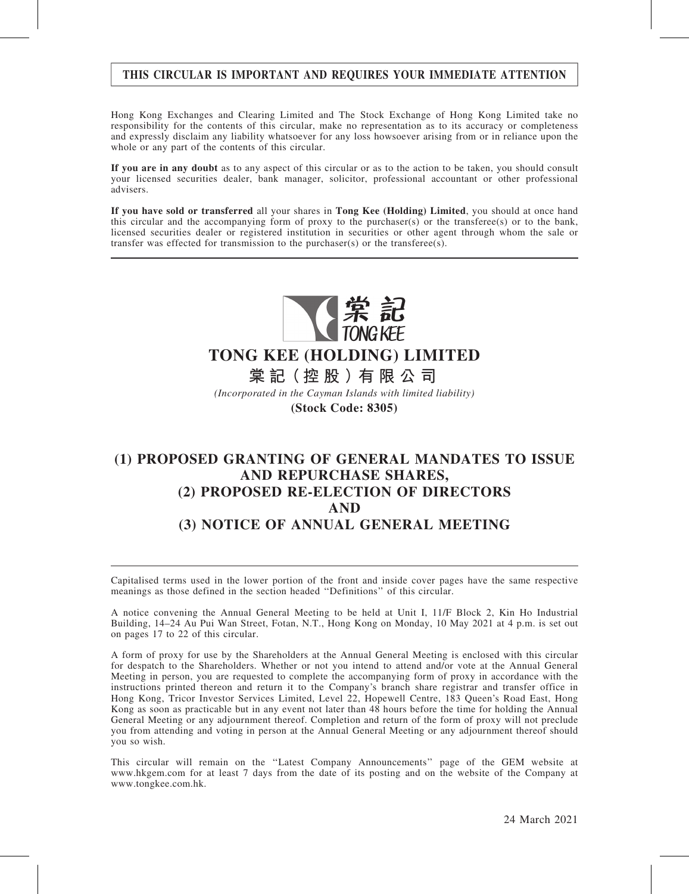### THIS CIRCULAR IS IMPORTANT AND REQUIRES YOUR IMMEDIATE ATTENTION

Hong Kong Exchanges and Clearing Limited and The Stock Exchange of Hong Kong Limited take no responsibility for the contents of this circular, make no representation as to its accuracy or completeness and expressly disclaim any liability whatsoever for any loss howsoever arising from or in reliance upon the whole or any part of the contents of this circular.

If you are in any doubt as to any aspect of this circular or as to the action to be taken, you should consult your licensed securities dealer, bank manager, solicitor, professional accountant or other professional advisers.

If you have sold or transferred all your shares in Tong Kee (Holding) Limited, you should at once hand this circular and the accompanying form of proxy to the purchaser(s) or the transferee(s) or to the bank, licensed securities dealer or registered institution in securities or other agent through whom the sale or transfer was effected for transmission to the purchaser(s) or the transferee(s).



# **TONG KEE (HOLDING) LIMITED**

**棠 記(控 股 )有 限 公 司**

*(Incorporated in the Cayman Islands with limited liability)* **(Stock Code: 8305)**

# (1) PROPOSED GRANTING OF GENERAL MANDATES TO ISSUE AND REPURCHASE SHARES, (2) PROPOSED RE-ELECTION OF DIRECTORS AND (3) NOTICE OF ANNUAL GENERAL MEETING

Capitalised terms used in the lower portion of the front and inside cover pages have the same respective meanings as those defined in the section headed ''Definitions'' of this circular.

A notice convening the Annual General Meeting to be held at Unit I, 11/F Block 2, Kin Ho Industrial Building, 14–24 Au Pui Wan Street, Fotan, N.T., Hong Kong on Monday, 10 May 2021 at 4 p.m. is set out on pages 17 to 22 of this circular.

A form of proxy for use by the Shareholders at the Annual General Meeting is enclosed with this circular for despatch to the Shareholders. Whether or not you intend to attend and/or vote at the Annual General Meeting in person, you are requested to complete the accompanying form of proxy in accordance with the instructions printed thereon and return it to the Company's branch share registrar and transfer office in Hong Kong, Tricor Investor Services Limited, Level 22, Hopewell Centre, 183 Queen's Road East, Hong Kong as soon as practicable but in any event not later than 48 hours before the time for holding the Annual General Meeting or any adjournment thereof. Completion and return of the form of proxy will not preclude you from attending and voting in person at the Annual General Meeting or any adjournment thereof should you so wish.

This circular will remain on the ''Latest Company Announcements'' page of the GEM website at www.hkgem.com for at least 7 days from the date of its posting and on the website of the Company at www.tongkee.com.hk.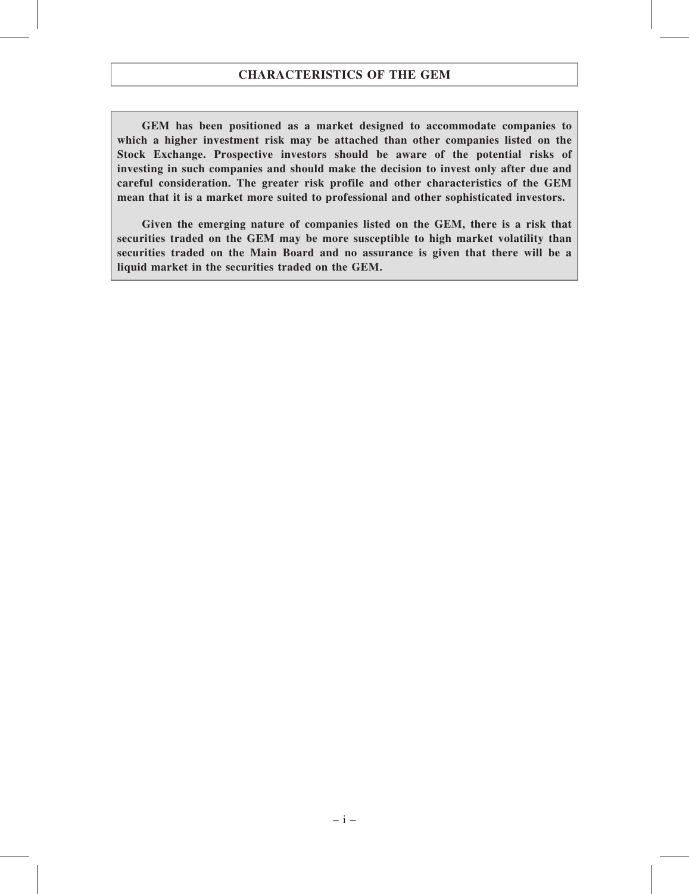GEM has been positioned as a market designed to accommodate companies to which a higher investment risk may be attached than other companies listed on the Stock Exchange. Prospective investors should be aware of the potential risks of investing in such companies and should make the decision to invest only after due and careful consideration. The greater risk profile and other characteristics of the GEM mean that it is a market more suited to professional and other sophisticated investors.

Given the emerging nature of companies listed on the GEM, there is a risk that securities traded on the GEM may be more susceptible to high market volatility than securities traded on the Main Board and no assurance is given that there will be a liquid market in the securities traded on the GEM.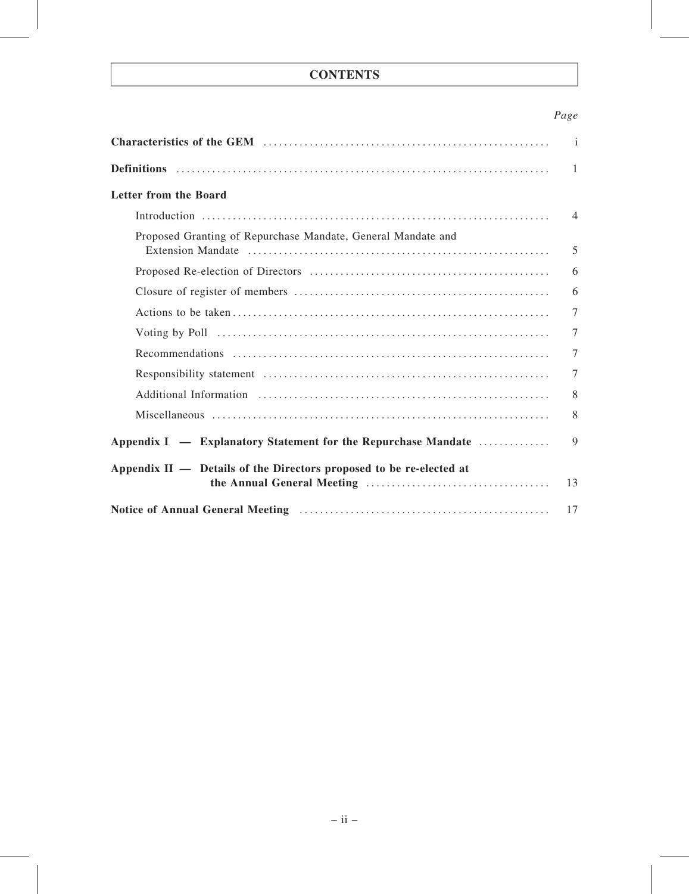# **CONTENTS**

## Page

|                                                                                                                                                                                                                                | $\mathbf{i}$   |
|--------------------------------------------------------------------------------------------------------------------------------------------------------------------------------------------------------------------------------|----------------|
|                                                                                                                                                                                                                                | $\mathbf{1}$   |
| <b>Letter from the Board</b>                                                                                                                                                                                                   |                |
|                                                                                                                                                                                                                                | $\overline{4}$ |
| Proposed Granting of Repurchase Mandate, General Mandate and                                                                                                                                                                   | 5              |
|                                                                                                                                                                                                                                | 6              |
|                                                                                                                                                                                                                                | 6              |
|                                                                                                                                                                                                                                | $\overline{7}$ |
|                                                                                                                                                                                                                                | 7              |
|                                                                                                                                                                                                                                | $\tau$         |
|                                                                                                                                                                                                                                | $\tau$         |
| Additional Information (a) results are all the contract of the contract of the contract of the contract of the contract of the contract of the contract of the contract of the contract of the contract of the contract of the | 8              |
|                                                                                                                                                                                                                                | 8              |
| Appendix I — Explanatory Statement for the Repurchase Mandate                                                                                                                                                                  | 9              |
| Appendix II — Details of the Directors proposed to be re-elected at                                                                                                                                                            | 13             |
|                                                                                                                                                                                                                                | 17             |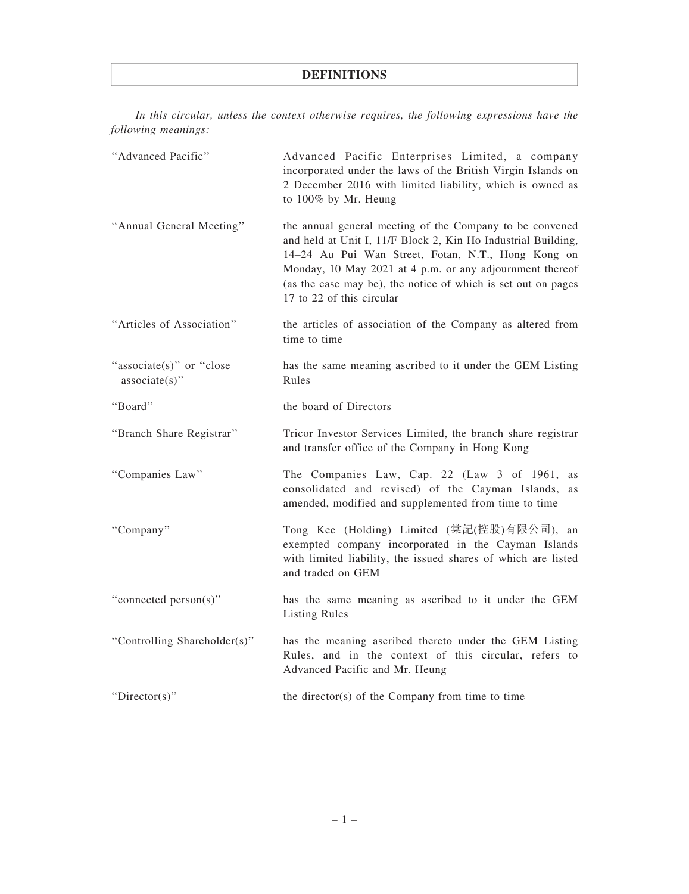### DEFINITIONS

In this circular, unless the context otherwise requires, the following expressions have the following meanings:

| "Advanced Pacific"                            | Advanced Pacific Enterprises Limited, a company<br>incorporated under the laws of the British Virgin Islands on<br>2 December 2016 with limited liability, which is owned as<br>to 100% by Mr. Heung                                                                                                                                      |
|-----------------------------------------------|-------------------------------------------------------------------------------------------------------------------------------------------------------------------------------------------------------------------------------------------------------------------------------------------------------------------------------------------|
| "Annual General Meeting"                      | the annual general meeting of the Company to be convened<br>and held at Unit I, 11/F Block 2, Kin Ho Industrial Building,<br>14-24 Au Pui Wan Street, Fotan, N.T., Hong Kong on<br>Monday, 10 May 2021 at 4 p.m. or any adjournment thereof<br>(as the case may be), the notice of which is set out on pages<br>17 to 22 of this circular |
| "Articles of Association"                     | the articles of association of the Company as altered from<br>time to time                                                                                                                                                                                                                                                                |
| "associate(s)" or "close"<br>$associate(s)$ " | has the same meaning ascribed to it under the GEM Listing<br>Rules                                                                                                                                                                                                                                                                        |
| "Board"                                       | the board of Directors                                                                                                                                                                                                                                                                                                                    |
| "Branch Share Registrar"                      | Tricor Investor Services Limited, the branch share registrar<br>and transfer office of the Company in Hong Kong                                                                                                                                                                                                                           |
|                                               | The Companies Law, Cap. 22 (Law 3 of 1961, as                                                                                                                                                                                                                                                                                             |
| "Companies Law"                               | consolidated and revised) of the Cayman Islands, as<br>amended, modified and supplemented from time to time                                                                                                                                                                                                                               |
| "Company"                                     | Tong Kee (Holding) Limited (棠記(控股)有限公司), an<br>exempted company incorporated in the Cayman Islands<br>with limited liability, the issued shares of which are listed<br>and traded on GEM                                                                                                                                                  |
| "connected person(s)"                         | has the same meaning as ascribed to it under the GEM<br><b>Listing Rules</b>                                                                                                                                                                                                                                                              |
| "Controlling Shareholder(s)"                  | has the meaning ascribed thereto under the GEM Listing<br>Rules, and in the context of this circular, refers to<br>Advanced Pacific and Mr. Heung                                                                                                                                                                                         |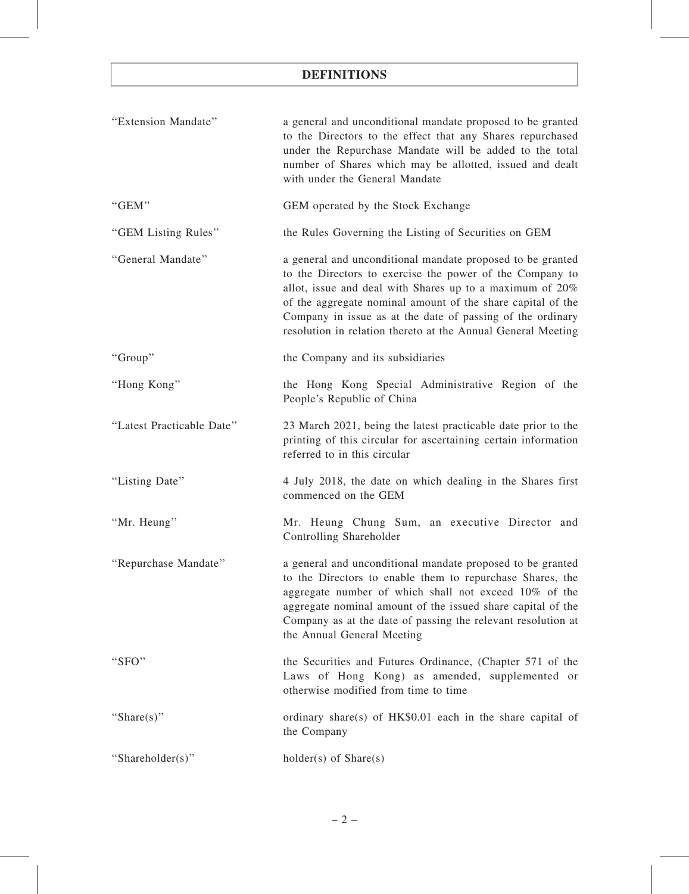# DEFINITIONS

| "Extension Mandate"       | a general and unconditional mandate proposed to be granted<br>to the Directors to the effect that any Shares repurchased<br>under the Repurchase Mandate will be added to the total<br>number of Shares which may be allotted, issued and dealt<br>with under the General Mandate                                                                                                  |
|---------------------------|------------------------------------------------------------------------------------------------------------------------------------------------------------------------------------------------------------------------------------------------------------------------------------------------------------------------------------------------------------------------------------|
| "GEM"                     | GEM operated by the Stock Exchange                                                                                                                                                                                                                                                                                                                                                 |
| "GEM Listing Rules"       | the Rules Governing the Listing of Securities on GEM                                                                                                                                                                                                                                                                                                                               |
| "General Mandate"         | a general and unconditional mandate proposed to be granted<br>to the Directors to exercise the power of the Company to<br>allot, issue and deal with Shares up to a maximum of $20\%$<br>of the aggregate nominal amount of the share capital of the<br>Company in issue as at the date of passing of the ordinary<br>resolution in relation thereto at the Annual General Meeting |
| "Group"                   | the Company and its subsidiaries                                                                                                                                                                                                                                                                                                                                                   |
| "Hong Kong"               | the Hong Kong Special Administrative Region of the<br>People's Republic of China                                                                                                                                                                                                                                                                                                   |
| "Latest Practicable Date" | 23 March 2021, being the latest practicable date prior to the<br>printing of this circular for ascertaining certain information<br>referred to in this circular                                                                                                                                                                                                                    |
| "Listing Date"            | 4 July 2018, the date on which dealing in the Shares first<br>commenced on the GEM                                                                                                                                                                                                                                                                                                 |
| "Mr. Heung"               | Mr. Heung Chung Sum, an executive Director and<br>Controlling Shareholder                                                                                                                                                                                                                                                                                                          |
| "Repurchase Mandate"      | a general and unconditional mandate proposed to be granted<br>to the Directors to enable them to repurchase Shares, the<br>aggregate number of which shall not exceed 10% of the<br>aggregate nominal amount of the issued share capital of the<br>Company as at the date of passing the relevant resolution at<br>the Annual General Meeting                                      |
| "SFO"                     | the Securities and Futures Ordinance, (Chapter 571 of the<br>Laws of Hong Kong) as amended, supplemented or<br>otherwise modified from time to time                                                                                                                                                                                                                                |
| "Share(s)"                | ordinary share(s) of HK\$0.01 each in the share capital of<br>the Company                                                                                                                                                                                                                                                                                                          |
| "Shareholder(s)"          | $holder(s)$ of $Share(s)$                                                                                                                                                                                                                                                                                                                                                          |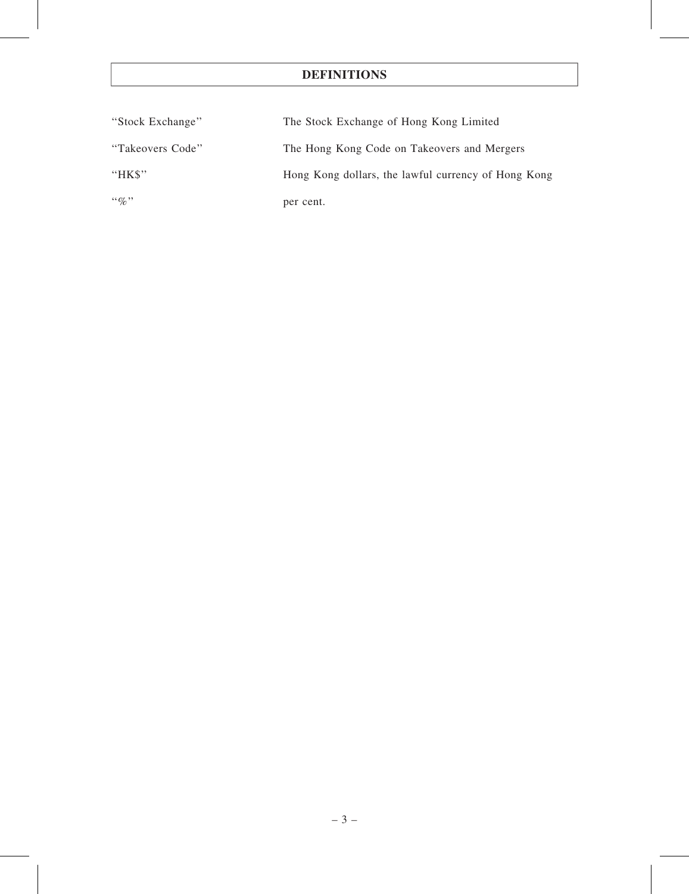# DEFINITIONS

| "Stock Exchange" | The Stock Exchange of Hong Kong Limited             |  |  |
|------------------|-----------------------------------------------------|--|--|
| "Takeovers Code" | The Hong Kong Code on Takeovers and Mergers         |  |  |
| "HK\$"           | Hong Kong dollars, the lawful currency of Hong Kong |  |  |
| $\lq\lq q_0$ "   | per cent.                                           |  |  |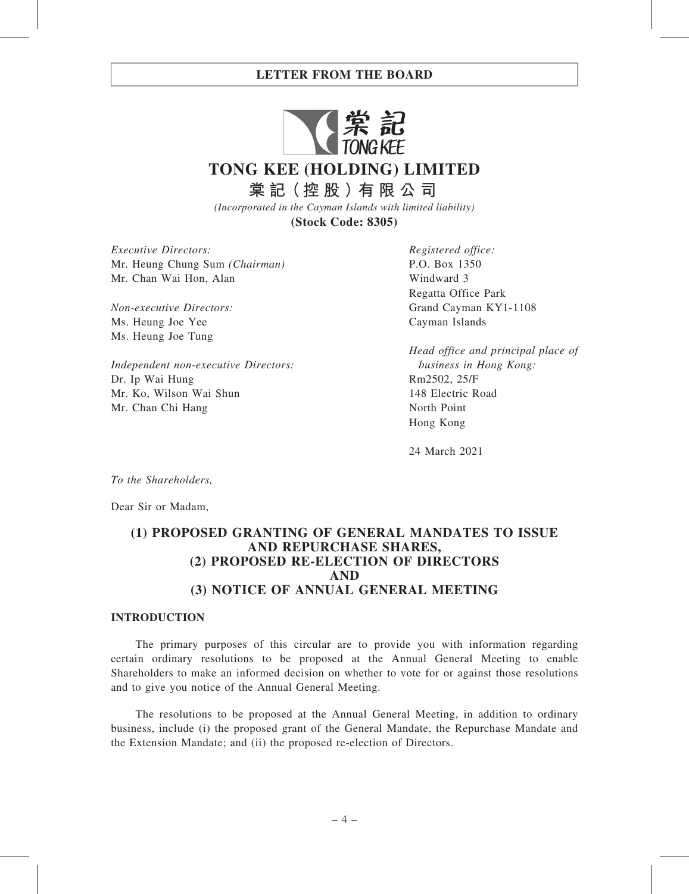

*(Incorporated in the Cayman Islands with limited liability)*

**(Stock Code: 8305)**

Executive Directors: Mr. Heung Chung Sum (Chairman) Mr. Chan Wai Hon, Alan

Non-executive Directors: Ms. Heung Joe Yee Ms. Heung Joe Tung

Independent non-executive Directors: Dr. Ip Wai Hung Mr. Ko, Wilson Wai Shun Mr. Chan Chi Hang

Registered office: P.O. Box 1350 Windward 3 Regatta Office Park Grand Cayman KY1-1108 Cayman Islands

Head office and principal place of business in Hong Kong: Rm2502, 25/F 148 Electric Road North Point Hong Kong

24 March 2021

To the Shareholders,

Dear Sir or Madam,

## (1) PROPOSED GRANTING OF GENERAL MANDATES TO ISSUE AND REPURCHASE SHARES, (2) PROPOSED RE-ELECTION OF DIRECTORS AND (3) NOTICE OF ANNUAL GENERAL MEETING

#### INTRODUCTION

The primary purposes of this circular are to provide you with information regarding certain ordinary resolutions to be proposed at the Annual General Meeting to enable Shareholders to make an informed decision on whether to vote for or against those resolutions and to give you notice of the Annual General Meeting.

The resolutions to be proposed at the Annual General Meeting, in addition to ordinary business, include (i) the proposed grant of the General Mandate, the Repurchase Mandate and the Extension Mandate; and (ii) the proposed re-election of Directors.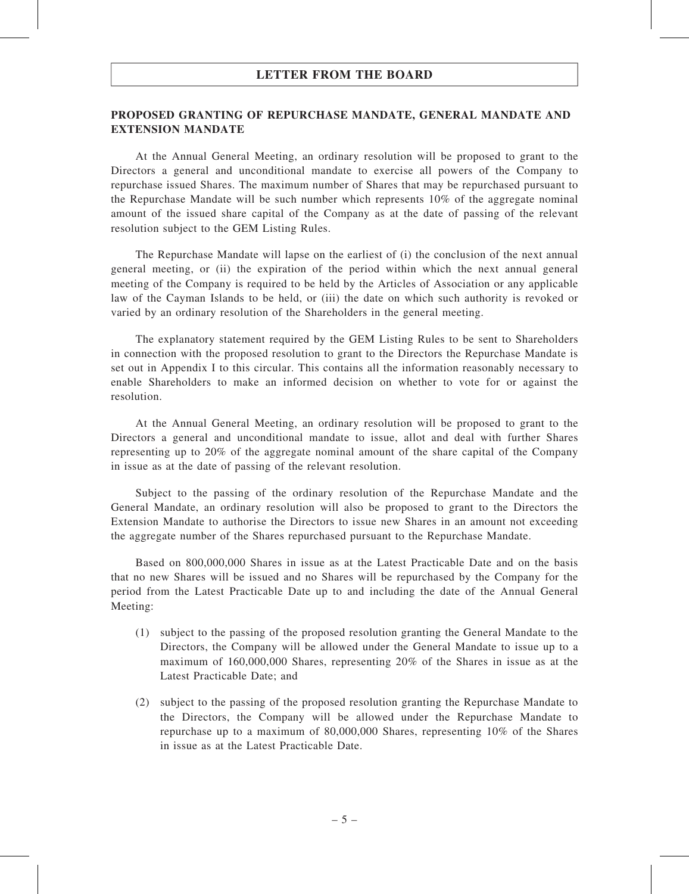#### PROPOSED GRANTING OF REPURCHASE MANDATE, GENERAL MANDATE AND EXTENSION MANDATE

At the Annual General Meeting, an ordinary resolution will be proposed to grant to the Directors a general and unconditional mandate to exercise all powers of the Company to repurchase issued Shares. The maximum number of Shares that may be repurchased pursuant to the Repurchase Mandate will be such number which represents 10% of the aggregate nominal amount of the issued share capital of the Company as at the date of passing of the relevant resolution subject to the GEM Listing Rules.

The Repurchase Mandate will lapse on the earliest of (i) the conclusion of the next annual general meeting, or (ii) the expiration of the period within which the next annual general meeting of the Company is required to be held by the Articles of Association or any applicable law of the Cayman Islands to be held, or (iii) the date on which such authority is revoked or varied by an ordinary resolution of the Shareholders in the general meeting.

The explanatory statement required by the GEM Listing Rules to be sent to Shareholders in connection with the proposed resolution to grant to the Directors the Repurchase Mandate is set out in Appendix I to this circular. This contains all the information reasonably necessary to enable Shareholders to make an informed decision on whether to vote for or against the resolution.

At the Annual General Meeting, an ordinary resolution will be proposed to grant to the Directors a general and unconditional mandate to issue, allot and deal with further Shares representing up to 20% of the aggregate nominal amount of the share capital of the Company in issue as at the date of passing of the relevant resolution.

Subject to the passing of the ordinary resolution of the Repurchase Mandate and the General Mandate, an ordinary resolution will also be proposed to grant to the Directors the Extension Mandate to authorise the Directors to issue new Shares in an amount not exceeding the aggregate number of the Shares repurchased pursuant to the Repurchase Mandate.

Based on 800,000,000 Shares in issue as at the Latest Practicable Date and on the basis that no new Shares will be issued and no Shares will be repurchased by the Company for the period from the Latest Practicable Date up to and including the date of the Annual General Meeting:

- (1) subject to the passing of the proposed resolution granting the General Mandate to the Directors, the Company will be allowed under the General Mandate to issue up to a maximum of 160,000,000 Shares, representing 20% of the Shares in issue as at the Latest Practicable Date; and
- (2) subject to the passing of the proposed resolution granting the Repurchase Mandate to the Directors, the Company will be allowed under the Repurchase Mandate to repurchase up to a maximum of 80,000,000 Shares, representing 10% of the Shares in issue as at the Latest Practicable Date.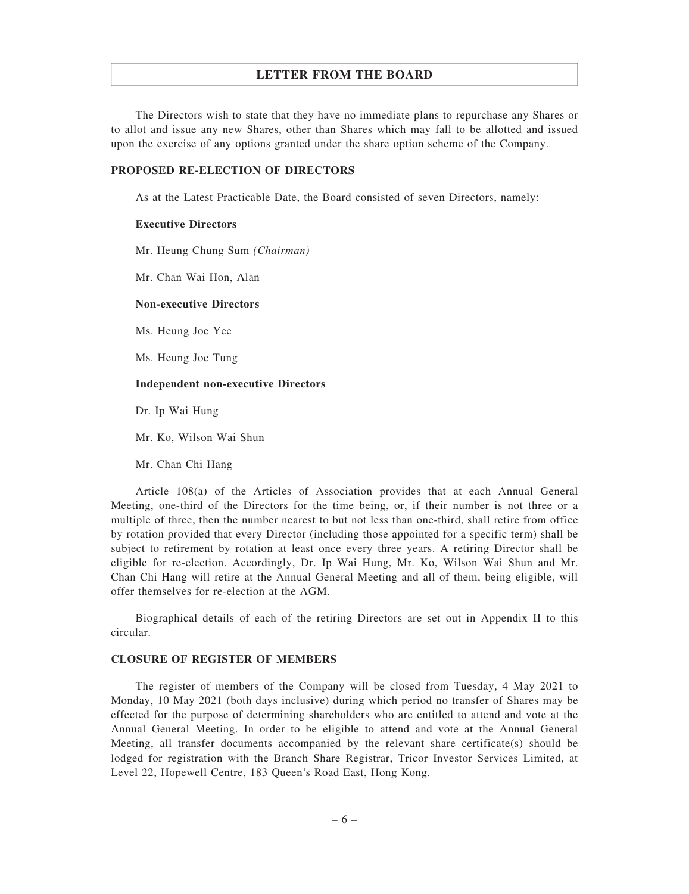The Directors wish to state that they have no immediate plans to repurchase any Shares or to allot and issue any new Shares, other than Shares which may fall to be allotted and issued upon the exercise of any options granted under the share option scheme of the Company.

#### PROPOSED RE-ELECTION OF DIRECTORS

As at the Latest Practicable Date, the Board consisted of seven Directors, namely:

#### Executive Directors

Mr. Heung Chung Sum (Chairman)

Mr. Chan Wai Hon, Alan

#### Non-executive Directors

Ms. Heung Joe Yee

Ms. Heung Joe Tung

#### Independent non-executive Directors

Dr. Ip Wai Hung

Mr. Ko, Wilson Wai Shun

Mr. Chan Chi Hang

Article 108(a) of the Articles of Association provides that at each Annual General Meeting, one-third of the Directors for the time being, or, if their number is not three or a multiple of three, then the number nearest to but not less than one-third, shall retire from office by rotation provided that every Director (including those appointed for a specific term) shall be subject to retirement by rotation at least once every three years. A retiring Director shall be eligible for re-election. Accordingly, Dr. Ip Wai Hung, Mr. Ko, Wilson Wai Shun and Mr. Chan Chi Hang will retire at the Annual General Meeting and all of them, being eligible, will offer themselves for re-election at the AGM.

Biographical details of each of the retiring Directors are set out in Appendix II to this circular.

#### CLOSURE OF REGISTER OF MEMBERS

The register of members of the Company will be closed from Tuesday, 4 May 2021 to Monday, 10 May 2021 (both days inclusive) during which period no transfer of Shares may be effected for the purpose of determining shareholders who are entitled to attend and vote at the Annual General Meeting. In order to be eligible to attend and vote at the Annual General Meeting, all transfer documents accompanied by the relevant share certificate(s) should be lodged for registration with the Branch Share Registrar, Tricor Investor Services Limited, at Level 22, Hopewell Centre, 183 Queen's Road East, Hong Kong.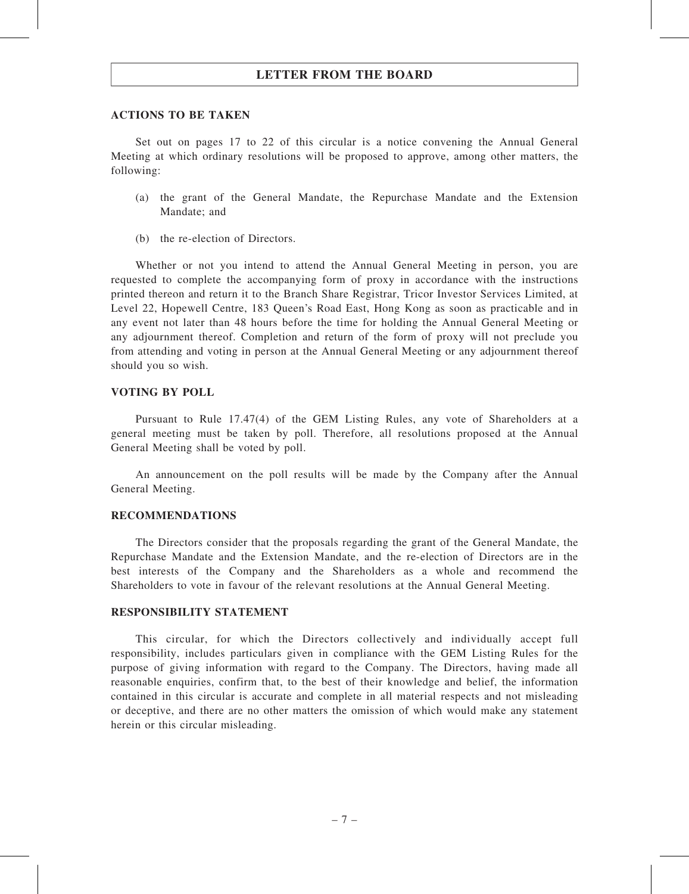#### ACTIONS TO BE TAKEN

Set out on pages 17 to 22 of this circular is a notice convening the Annual General Meeting at which ordinary resolutions will be proposed to approve, among other matters, the following:

- (a) the grant of the General Mandate, the Repurchase Mandate and the Extension Mandate; and
- (b) the re-election of Directors.

Whether or not you intend to attend the Annual General Meeting in person, you are requested to complete the accompanying form of proxy in accordance with the instructions printed thereon and return it to the Branch Share Registrar, Tricor Investor Services Limited, at Level 22, Hopewell Centre, 183 Queen's Road East, Hong Kong as soon as practicable and in any event not later than 48 hours before the time for holding the Annual General Meeting or any adjournment thereof. Completion and return of the form of proxy will not preclude you from attending and voting in person at the Annual General Meeting or any adjournment thereof should you so wish.

#### VOTING BY POLL

Pursuant to Rule 17.47(4) of the GEM Listing Rules, any vote of Shareholders at a general meeting must be taken by poll. Therefore, all resolutions proposed at the Annual General Meeting shall be voted by poll.

An announcement on the poll results will be made by the Company after the Annual General Meeting.

#### RECOMMENDATIONS

The Directors consider that the proposals regarding the grant of the General Mandate, the Repurchase Mandate and the Extension Mandate, and the re-election of Directors are in the best interests of the Company and the Shareholders as a whole and recommend the Shareholders to vote in favour of the relevant resolutions at the Annual General Meeting.

#### RESPONSIBILITY STATEMENT

This circular, for which the Directors collectively and individually accept full responsibility, includes particulars given in compliance with the GEM Listing Rules for the purpose of giving information with regard to the Company. The Directors, having made all reasonable enquiries, confirm that, to the best of their knowledge and belief, the information contained in this circular is accurate and complete in all material respects and not misleading or deceptive, and there are no other matters the omission of which would make any statement herein or this circular misleading.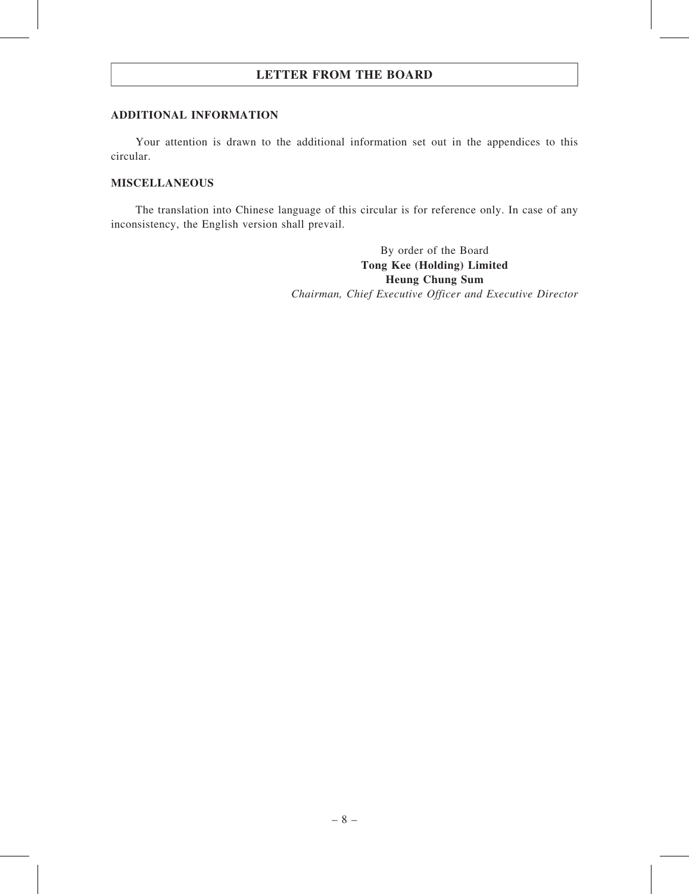#### ADDITIONAL INFORMATION

Your attention is drawn to the additional information set out in the appendices to this circular.

#### MISCELLANEOUS

The translation into Chinese language of this circular is for reference only. In case of any inconsistency, the English version shall prevail.

> By order of the Board Tong Kee (Holding) Limited Heung Chung Sum Chairman, Chief Executive Officer and Executive Director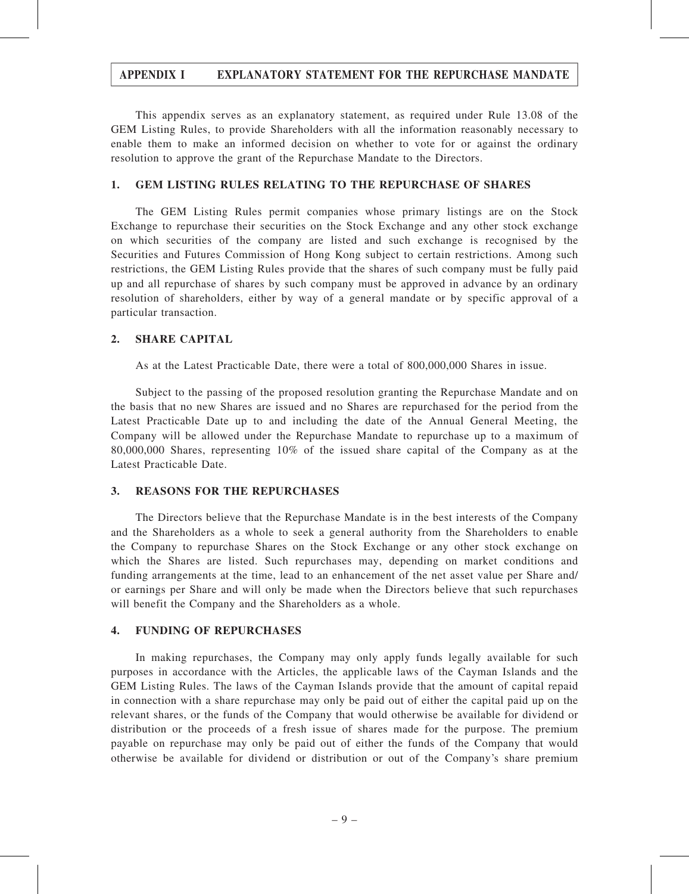This appendix serves as an explanatory statement, as required under Rule 13.08 of the GEM Listing Rules, to provide Shareholders with all the information reasonably necessary to enable them to make an informed decision on whether to vote for or against the ordinary resolution to approve the grant of the Repurchase Mandate to the Directors.

#### 1. GEM LISTING RULES RELATING TO THE REPURCHASE OF SHARES

The GEM Listing Rules permit companies whose primary listings are on the Stock Exchange to repurchase their securities on the Stock Exchange and any other stock exchange on which securities of the company are listed and such exchange is recognised by the Securities and Futures Commission of Hong Kong subject to certain restrictions. Among such restrictions, the GEM Listing Rules provide that the shares of such company must be fully paid up and all repurchase of shares by such company must be approved in advance by an ordinary resolution of shareholders, either by way of a general mandate or by specific approval of a particular transaction.

#### 2. SHARE CAPITAL

As at the Latest Practicable Date, there were a total of 800,000,000 Shares in issue.

Subject to the passing of the proposed resolution granting the Repurchase Mandate and on the basis that no new Shares are issued and no Shares are repurchased for the period from the Latest Practicable Date up to and including the date of the Annual General Meeting, the Company will be allowed under the Repurchase Mandate to repurchase up to a maximum of 80,000,000 Shares, representing 10% of the issued share capital of the Company as at the Latest Practicable Date.

#### 3. REASONS FOR THE REPURCHASES

The Directors believe that the Repurchase Mandate is in the best interests of the Company and the Shareholders as a whole to seek a general authority from the Shareholders to enable the Company to repurchase Shares on the Stock Exchange or any other stock exchange on which the Shares are listed. Such repurchases may, depending on market conditions and funding arrangements at the time, lead to an enhancement of the net asset value per Share and/ or earnings per Share and will only be made when the Directors believe that such repurchases will benefit the Company and the Shareholders as a whole.

#### 4. FUNDING OF REPURCHASES

In making repurchases, the Company may only apply funds legally available for such purposes in accordance with the Articles, the applicable laws of the Cayman Islands and the GEM Listing Rules. The laws of the Cayman Islands provide that the amount of capital repaid in connection with a share repurchase may only be paid out of either the capital paid up on the relevant shares, or the funds of the Company that would otherwise be available for dividend or distribution or the proceeds of a fresh issue of shares made for the purpose. The premium payable on repurchase may only be paid out of either the funds of the Company that would otherwise be available for dividend or distribution or out of the Company's share premium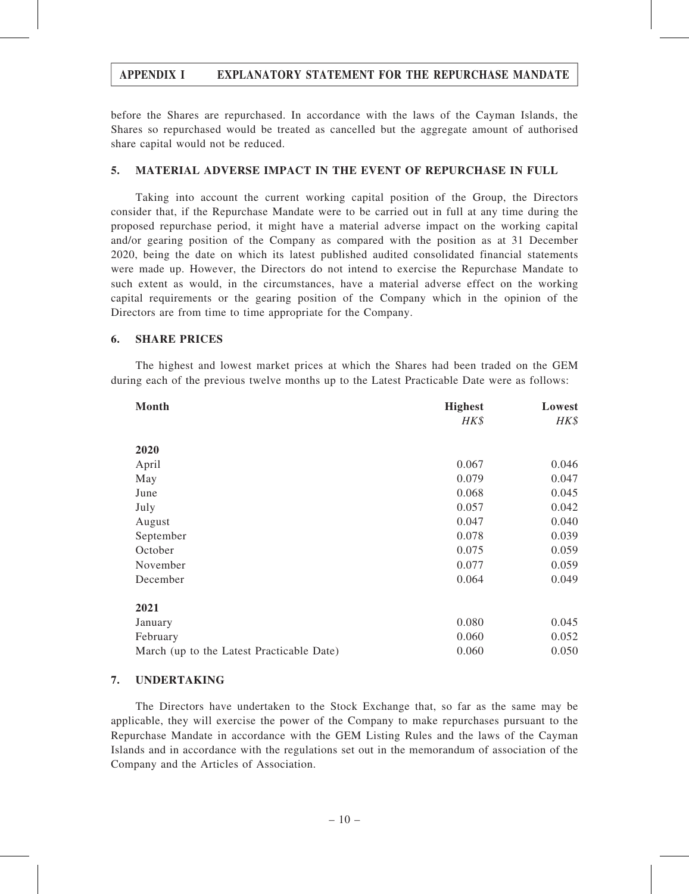before the Shares are repurchased. In accordance with the laws of the Cayman Islands, the Shares so repurchased would be treated as cancelled but the aggregate amount of authorised share capital would not be reduced.

#### 5. MATERIAL ADVERSE IMPACT IN THE EVENT OF REPURCHASE IN FULL

Taking into account the current working capital position of the Group, the Directors consider that, if the Repurchase Mandate were to be carried out in full at any time during the proposed repurchase period, it might have a material adverse impact on the working capital and/or gearing position of the Company as compared with the position as at 31 December 2020, being the date on which its latest published audited consolidated financial statements were made up. However, the Directors do not intend to exercise the Repurchase Mandate to such extent as would, in the circumstances, have a material adverse effect on the working capital requirements or the gearing position of the Company which in the opinion of the Directors are from time to time appropriate for the Company.

#### 6. SHARE PRICES

The highest and lowest market prices at which the Shares had been traded on the GEM during each of the previous twelve months up to the Latest Practicable Date were as follows:

| Month                                     | <b>Highest</b> | Lowest   |
|-------------------------------------------|----------------|----------|
|                                           | HK\$           | $H K$ \$ |
| 2020                                      |                |          |
| April                                     | 0.067          | 0.046    |
| May                                       | 0.079          | 0.047    |
| June                                      | 0.068          | 0.045    |
| July                                      | 0.057          | 0.042    |
| August                                    | 0.047          | 0.040    |
| September                                 | 0.078          | 0.039    |
| October                                   | 0.075          | 0.059    |
| November                                  | 0.077          | 0.059    |
| December                                  | 0.064          | 0.049    |
| 2021                                      |                |          |
| January                                   | 0.080          | 0.045    |
| February                                  | 0.060          | 0.052    |
| March (up to the Latest Practicable Date) | 0.060          | 0.050    |

#### 7. UNDERTAKING

The Directors have undertaken to the Stock Exchange that, so far as the same may be applicable, they will exercise the power of the Company to make repurchases pursuant to the Repurchase Mandate in accordance with the GEM Listing Rules and the laws of the Cayman Islands and in accordance with the regulations set out in the memorandum of association of the Company and the Articles of Association.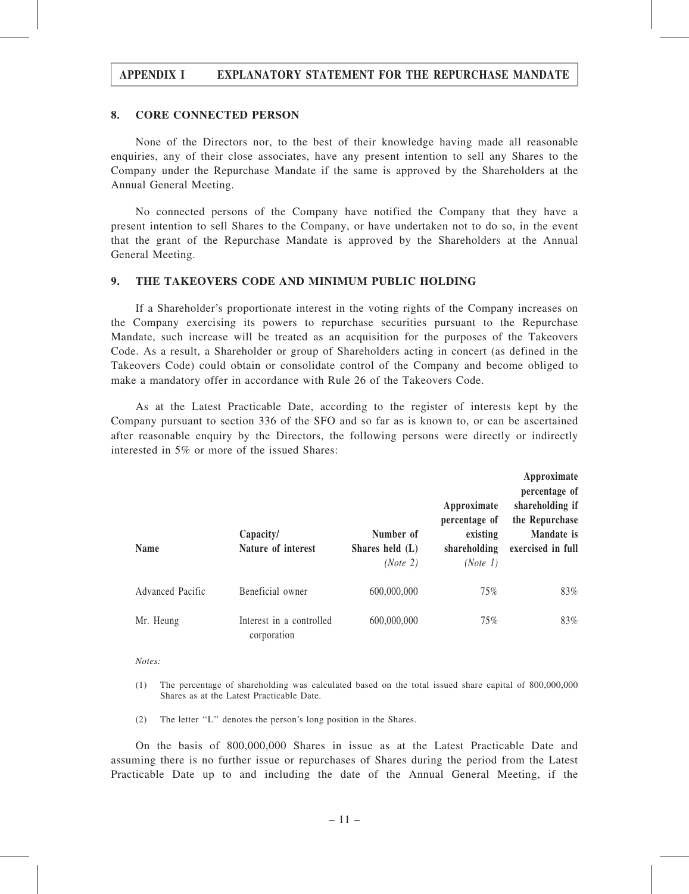#### 8. CORE CONNECTED PERSON

None of the Directors nor, to the best of their knowledge having made all reasonable enquiries, any of their close associates, have any present intention to sell any Shares to the Company under the Repurchase Mandate if the same is approved by the Shareholders at the Annual General Meeting.

No connected persons of the Company have notified the Company that they have a present intention to sell Shares to the Company, or have undertaken not to do so, in the event that the grant of the Repurchase Mandate is approved by the Shareholders at the Annual General Meeting.

#### 9. THE TAKEOVERS CODE AND MINIMUM PUBLIC HOLDING

If a Shareholder's proportionate interest in the voting rights of the Company increases on the Company exercising its powers to repurchase securities pursuant to the Repurchase Mandate, such increase will be treated as an acquisition for the purposes of the Takeovers Code. As a result, a Shareholder or group of Shareholders acting in concert (as defined in the Takeovers Code) could obtain or consolidate control of the Company and become obliged to make a mandatory offer in accordance with Rule 26 of the Takeovers Code.

As at the Latest Practicable Date, according to the register of interests kept by the Company pursuant to section 336 of the SFO and so far as is known to, or can be ascertained after reasonable enquiry by the Directors, the following persons were directly or indirectly interested in 5% or more of the issued Shares:

| <b>Name</b>      | Capacity/<br>Nature of interest         | Number of<br>Shares held $(L)$ | Approximate<br>percentage of<br>existing<br>shareholding | Approximate<br>percentage of<br>shareholding if<br>the Repurchase<br>Mandate is<br>exercised in full |
|------------------|-----------------------------------------|--------------------------------|----------------------------------------------------------|------------------------------------------------------------------------------------------------------|
|                  |                                         | (Note 2)                       | (Note 1)                                                 |                                                                                                      |
| Advanced Pacific | Beneficial owner                        | 600,000,000                    | 75%                                                      | 83%                                                                                                  |
| Mr. Heung        | Interest in a controlled<br>corporation | 600,000,000                    | 75%                                                      | 83%                                                                                                  |

Notes:

- (1) The percentage of shareholding was calculated based on the total issued share capital of 800,000,000 Shares as at the Latest Practicable Date.
- (2) The letter ''L'' denotes the person's long position in the Shares.

On the basis of 800,000,000 Shares in issue as at the Latest Practicable Date and assuming there is no further issue or repurchases of Shares during the period from the Latest Practicable Date up to and including the date of the Annual General Meeting, if the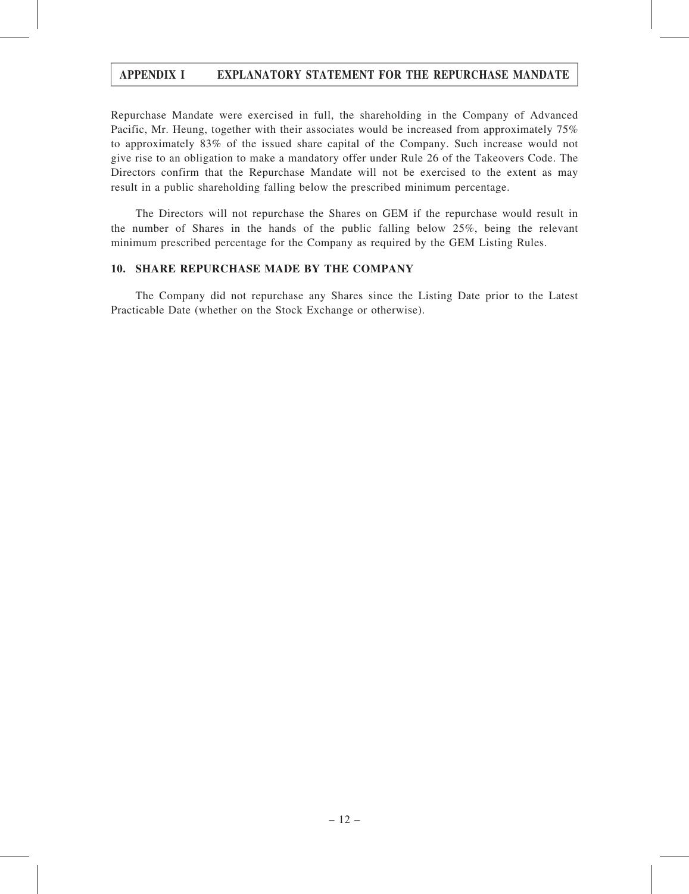Repurchase Mandate were exercised in full, the shareholding in the Company of Advanced Pacific, Mr. Heung, together with their associates would be increased from approximately 75% to approximately 83% of the issued share capital of the Company. Such increase would not give rise to an obligation to make a mandatory offer under Rule 26 of the Takeovers Code. The Directors confirm that the Repurchase Mandate will not be exercised to the extent as may result in a public shareholding falling below the prescribed minimum percentage.

The Directors will not repurchase the Shares on GEM if the repurchase would result in the number of Shares in the hands of the public falling below 25%, being the relevant minimum prescribed percentage for the Company as required by the GEM Listing Rules.

#### 10. SHARE REPURCHASE MADE BY THE COMPANY

The Company did not repurchase any Shares since the Listing Date prior to the Latest Practicable Date (whether on the Stock Exchange or otherwise).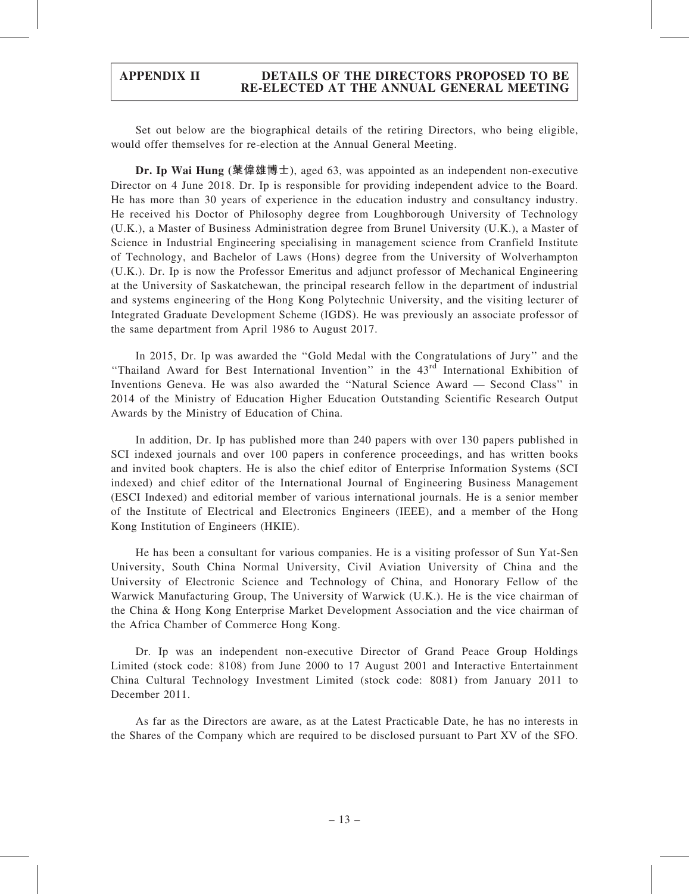Set out below are the biographical details of the retiring Directors, who being eligible, would offer themselves for re-election at the Annual General Meeting.

Dr. Ip Wai Hung (葉偉雄博士), aged 63, was appointed as an independent non-executive Director on 4 June 2018. Dr. Ip is responsible for providing independent advice to the Board. He has more than 30 years of experience in the education industry and consultancy industry. He received his Doctor of Philosophy degree from Loughborough University of Technology (U.K.), a Master of Business Administration degree from Brunel University (U.K.), a Master of Science in Industrial Engineering specialising in management science from Cranfield Institute of Technology, and Bachelor of Laws (Hons) degree from the University of Wolverhampton (U.K.). Dr. Ip is now the Professor Emeritus and adjunct professor of Mechanical Engineering at the University of Saskatchewan, the principal research fellow in the department of industrial and systems engineering of the Hong Kong Polytechnic University, and the visiting lecturer of Integrated Graduate Development Scheme (IGDS). He was previously an associate professor of the same department from April 1986 to August 2017.

In 2015, Dr. Ip was awarded the ''Gold Medal with the Congratulations of Jury'' and the ''Thailand Award for Best International Invention'' in the 43rd International Exhibition of Inventions Geneva. He was also awarded the ''Natural Science Award — Second Class'' in 2014 of the Ministry of Education Higher Education Outstanding Scientific Research Output Awards by the Ministry of Education of China.

In addition, Dr. Ip has published more than 240 papers with over 130 papers published in SCI indexed journals and over 100 papers in conference proceedings, and has written books and invited book chapters. He is also the chief editor of Enterprise Information Systems (SCI indexed) and chief editor of the International Journal of Engineering Business Management (ESCI Indexed) and editorial member of various international journals. He is a senior member of the Institute of Electrical and Electronics Engineers (IEEE), and a member of the Hong Kong Institution of Engineers (HKIE).

He has been a consultant for various companies. He is a visiting professor of Sun Yat-Sen University, South China Normal University, Civil Aviation University of China and the University of Electronic Science and Technology of China, and Honorary Fellow of the Warwick Manufacturing Group, The University of Warwick (U.K.). He is the vice chairman of the China & Hong Kong Enterprise Market Development Association and the vice chairman of the Africa Chamber of Commerce Hong Kong.

Dr. Ip was an independent non-executive Director of Grand Peace Group Holdings Limited (stock code: 8108) from June 2000 to 17 August 2001 and Interactive Entertainment China Cultural Technology Investment Limited (stock code: 8081) from January 2011 to December 2011.

As far as the Directors are aware, as at the Latest Practicable Date, he has no interests in the Shares of the Company which are required to be disclosed pursuant to Part XV of the SFO.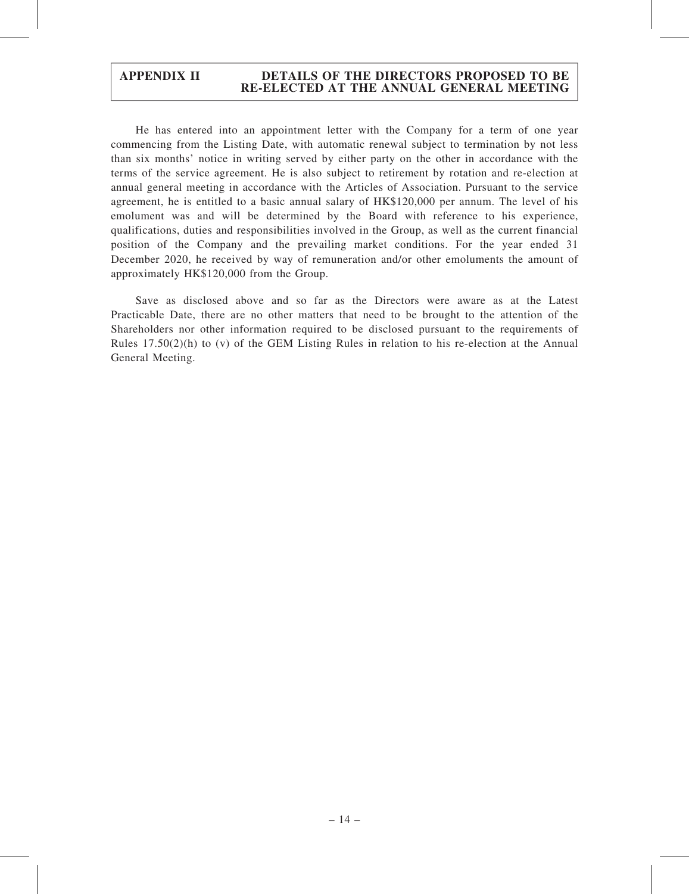He has entered into an appointment letter with the Company for a term of one year commencing from the Listing Date, with automatic renewal subject to termination by not less than six months' notice in writing served by either party on the other in accordance with the terms of the service agreement. He is also subject to retirement by rotation and re-election at annual general meeting in accordance with the Articles of Association. Pursuant to the service agreement, he is entitled to a basic annual salary of HK\$120,000 per annum. The level of his emolument was and will be determined by the Board with reference to his experience, qualifications, duties and responsibilities involved in the Group, as well as the current financial position of the Company and the prevailing market conditions. For the year ended 31 December 2020, he received by way of remuneration and/or other emoluments the amount of approximately HK\$120,000 from the Group.

Save as disclosed above and so far as the Directors were aware as at the Latest Practicable Date, there are no other matters that need to be brought to the attention of the Shareholders nor other information required to be disclosed pursuant to the requirements of Rules  $17.50(2)(h)$  to (v) of the GEM Listing Rules in relation to his re-election at the Annual General Meeting.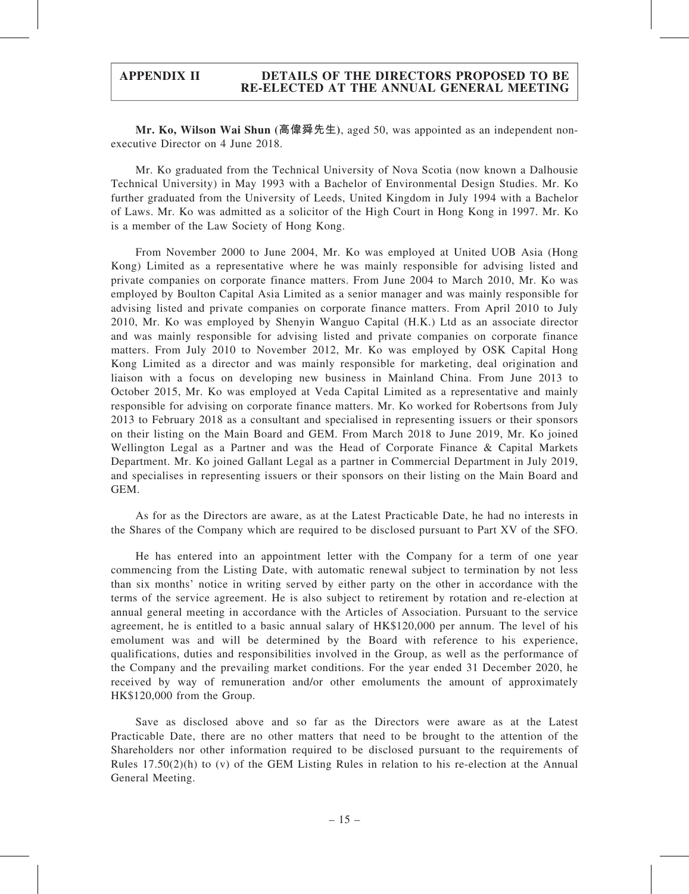Mr. Ko, Wilson Wai Shun (高偉舜先生), aged 50, was appointed as an independent nonexecutive Director on 4 June 2018.

Mr. Ko graduated from the Technical University of Nova Scotia (now known a Dalhousie Technical University) in May 1993 with a Bachelor of Environmental Design Studies. Mr. Ko further graduated from the University of Leeds, United Kingdom in July 1994 with a Bachelor of Laws. Mr. Ko was admitted as a solicitor of the High Court in Hong Kong in 1997. Mr. Ko is a member of the Law Society of Hong Kong.

From November 2000 to June 2004, Mr. Ko was employed at United UOB Asia (Hong Kong) Limited as a representative where he was mainly responsible for advising listed and private companies on corporate finance matters. From June 2004 to March 2010, Mr. Ko was employed by Boulton Capital Asia Limited as a senior manager and was mainly responsible for advising listed and private companies on corporate finance matters. From April 2010 to July 2010, Mr. Ko was employed by Shenyin Wanguo Capital (H.K.) Ltd as an associate director and was mainly responsible for advising listed and private companies on corporate finance matters. From July 2010 to November 2012, Mr. Ko was employed by OSK Capital Hong Kong Limited as a director and was mainly responsible for marketing, deal origination and liaison with a focus on developing new business in Mainland China. From June 2013 to October 2015, Mr. Ko was employed at Veda Capital Limited as a representative and mainly responsible for advising on corporate finance matters. Mr. Ko worked for Robertsons from July 2013 to February 2018 as a consultant and specialised in representing issuers or their sponsors on their listing on the Main Board and GEM. From March 2018 to June 2019, Mr. Ko joined Wellington Legal as a Partner and was the Head of Corporate Finance & Capital Markets Department. Mr. Ko joined Gallant Legal as a partner in Commercial Department in July 2019, and specialises in representing issuers or their sponsors on their listing on the Main Board and GEM.

As for as the Directors are aware, as at the Latest Practicable Date, he had no interests in the Shares of the Company which are required to be disclosed pursuant to Part XV of the SFO.

He has entered into an appointment letter with the Company for a term of one year commencing from the Listing Date, with automatic renewal subject to termination by not less than six months' notice in writing served by either party on the other in accordance with the terms of the service agreement. He is also subject to retirement by rotation and re-election at annual general meeting in accordance with the Articles of Association. Pursuant to the service agreement, he is entitled to a basic annual salary of HK\$120,000 per annum. The level of his emolument was and will be determined by the Board with reference to his experience, qualifications, duties and responsibilities involved in the Group, as well as the performance of the Company and the prevailing market conditions. For the year ended 31 December 2020, he received by way of remuneration and/or other emoluments the amount of approximately HK\$120,000 from the Group.

Save as disclosed above and so far as the Directors were aware as at the Latest Practicable Date, there are no other matters that need to be brought to the attention of the Shareholders nor other information required to be disclosed pursuant to the requirements of Rules  $17.50(2)(h)$  to (v) of the GEM Listing Rules in relation to his re-election at the Annual General Meeting.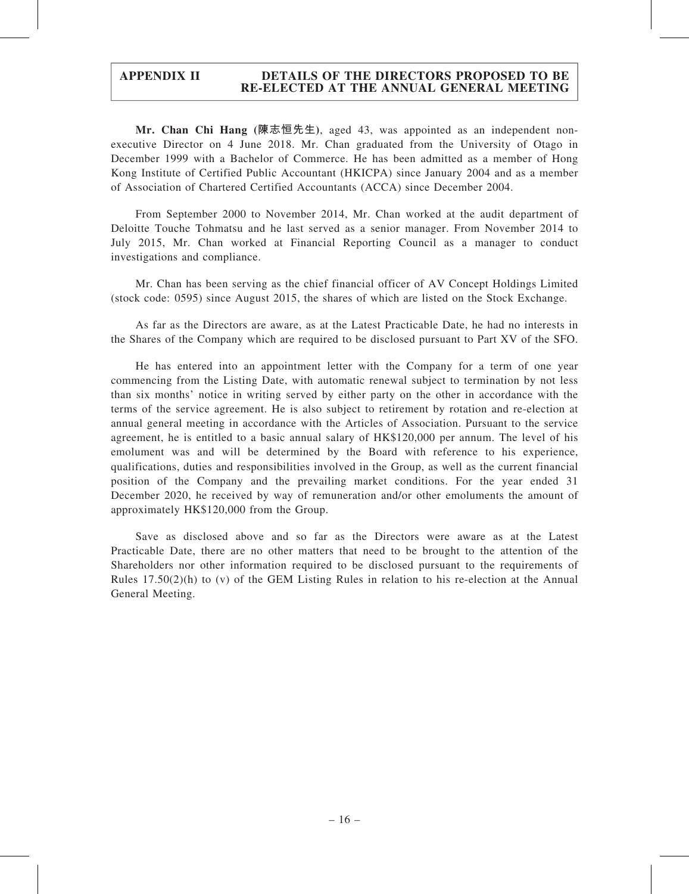Mr. Chan Chi Hang (陳志恒先生), aged 43, was appointed as an independent nonexecutive Director on 4 June 2018. Mr. Chan graduated from the University of Otago in December 1999 with a Bachelor of Commerce. He has been admitted as a member of Hong Kong Institute of Certified Public Accountant (HKICPA) since January 2004 and as a member of Association of Chartered Certified Accountants (ACCA) since December 2004.

From September 2000 to November 2014, Mr. Chan worked at the audit department of Deloitte Touche Tohmatsu and he last served as a senior manager. From November 2014 to July 2015, Mr. Chan worked at Financial Reporting Council as a manager to conduct investigations and compliance.

Mr. Chan has been serving as the chief financial officer of AV Concept Holdings Limited (stock code: 0595) since August 2015, the shares of which are listed on the Stock Exchange.

As far as the Directors are aware, as at the Latest Practicable Date, he had no interests in the Shares of the Company which are required to be disclosed pursuant to Part XV of the SFO.

He has entered into an appointment letter with the Company for a term of one year commencing from the Listing Date, with automatic renewal subject to termination by not less than six months' notice in writing served by either party on the other in accordance with the terms of the service agreement. He is also subject to retirement by rotation and re-election at annual general meeting in accordance with the Articles of Association. Pursuant to the service agreement, he is entitled to a basic annual salary of HK\$120,000 per annum. The level of his emolument was and will be determined by the Board with reference to his experience, qualifications, duties and responsibilities involved in the Group, as well as the current financial position of the Company and the prevailing market conditions. For the year ended 31 December 2020, he received by way of remuneration and/or other emoluments the amount of approximately HK\$120,000 from the Group.

Save as disclosed above and so far as the Directors were aware as at the Latest Practicable Date, there are no other matters that need to be brought to the attention of the Shareholders nor other information required to be disclosed pursuant to the requirements of Rules  $17.50(2)(h)$  to (v) of the GEM Listing Rules in relation to his re-election at the Annual General Meeting.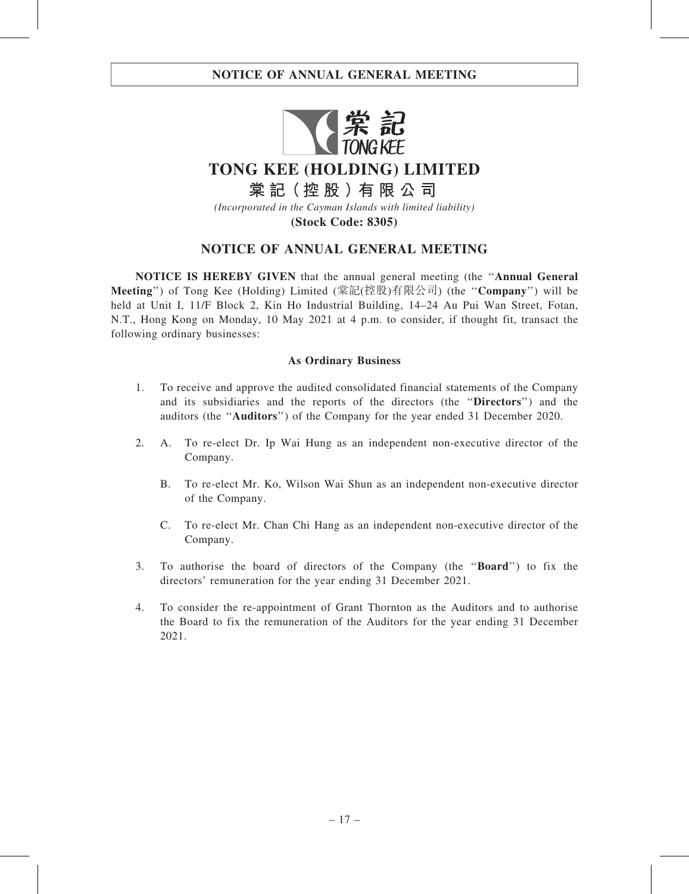

## NOTICE OF ANNUAL GENERAL MEETING

NOTICE IS HEREBY GIVEN that the annual general meeting (the ''Annual General Meeting'') of Tong Kee (Holding) Limited (棠記(控股)有限公司) (the ''Company'') will be held at Unit I, 11/F Block 2, Kin Ho Industrial Building, 14–24 Au Pui Wan Street, Fotan, N.T., Hong Kong on Monday, 10 May 2021 at 4 p.m. to consider, if thought fit, transact the following ordinary businesses:

#### As Ordinary Business

- 1. To receive and approve the audited consolidated financial statements of the Company and its subsidiaries and the reports of the directors (the ''Directors'') and the auditors (the ''Auditors'') of the Company for the year ended 31 December 2020.
- 2. A. To re-elect Dr. Ip Wai Hung as an independent non-executive director of the Company.
	- B. To re-elect Mr. Ko, Wilson Wai Shun as an independent non-executive director of the Company.
	- C. To re-elect Mr. Chan Chi Hang as an independent non-executive director of the Company.
- 3. To authorise the board of directors of the Company (the ''Board'') to fix the directors' remuneration for the year ending 31 December 2021.
- 4. To consider the re-appointment of Grant Thornton as the Auditors and to authorise the Board to fix the remuneration of the Auditors for the year ending 31 December 2021.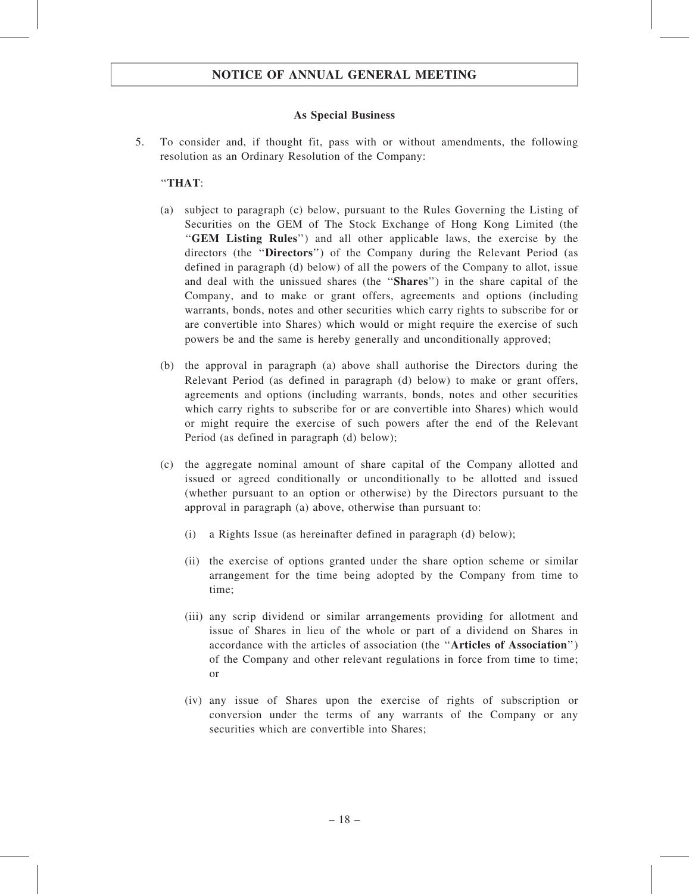#### As Special Business

5. To consider and, if thought fit, pass with or without amendments, the following resolution as an Ordinary Resolution of the Company:

#### ''THAT:

- (a) subject to paragraph (c) below, pursuant to the Rules Governing the Listing of Securities on the GEM of The Stock Exchange of Hong Kong Limited (the ''GEM Listing Rules'') and all other applicable laws, the exercise by the directors (the "Directors") of the Company during the Relevant Period (as defined in paragraph (d) below) of all the powers of the Company to allot, issue and deal with the unissued shares (the ''Shares'') in the share capital of the Company, and to make or grant offers, agreements and options (including warrants, bonds, notes and other securities which carry rights to subscribe for or are convertible into Shares) which would or might require the exercise of such powers be and the same is hereby generally and unconditionally approved;
- (b) the approval in paragraph (a) above shall authorise the Directors during the Relevant Period (as defined in paragraph (d) below) to make or grant offers, agreements and options (including warrants, bonds, notes and other securities which carry rights to subscribe for or are convertible into Shares) which would or might require the exercise of such powers after the end of the Relevant Period (as defined in paragraph (d) below);
- (c) the aggregate nominal amount of share capital of the Company allotted and issued or agreed conditionally or unconditionally to be allotted and issued (whether pursuant to an option or otherwise) by the Directors pursuant to the approval in paragraph (a) above, otherwise than pursuant to:
	- (i) a Rights Issue (as hereinafter defined in paragraph (d) below);
	- (ii) the exercise of options granted under the share option scheme or similar arrangement for the time being adopted by the Company from time to time;
	- (iii) any scrip dividend or similar arrangements providing for allotment and issue of Shares in lieu of the whole or part of a dividend on Shares in accordance with the articles of association (the ''Articles of Association'') of the Company and other relevant regulations in force from time to time; or
	- (iv) any issue of Shares upon the exercise of rights of subscription or conversion under the terms of any warrants of the Company or any securities which are convertible into Shares;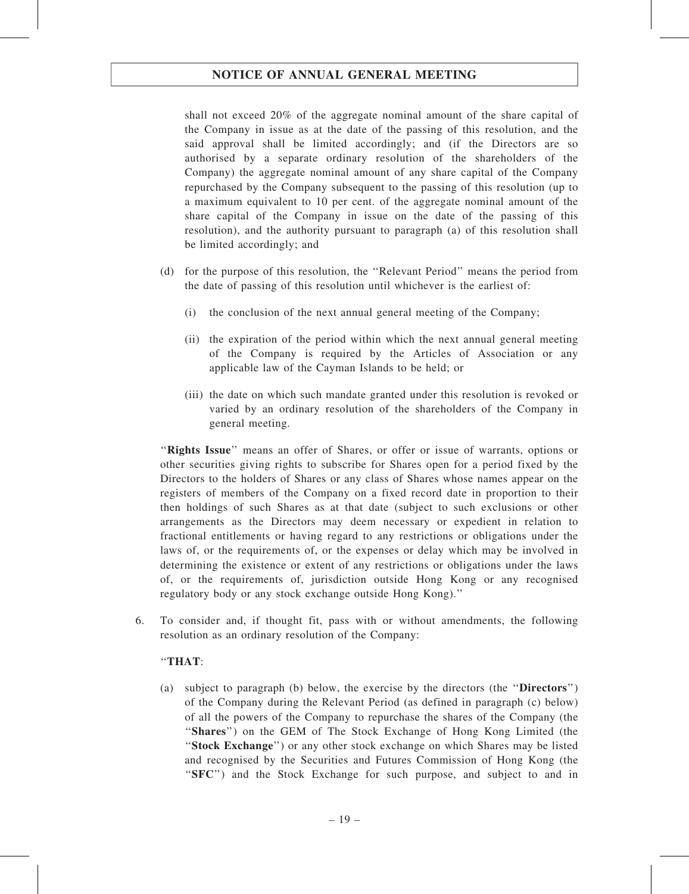shall not exceed 20% of the aggregate nominal amount of the share capital of the Company in issue as at the date of the passing of this resolution, and the said approval shall be limited accordingly; and (if the Directors are so authorised by a separate ordinary resolution of the shareholders of the Company) the aggregate nominal amount of any share capital of the Company repurchased by the Company subsequent to the passing of this resolution (up to a maximum equivalent to 10 per cent. of the aggregate nominal amount of the share capital of the Company in issue on the date of the passing of this resolution), and the authority pursuant to paragraph (a) of this resolution shall be limited accordingly; and

- (d) for the purpose of this resolution, the ''Relevant Period'' means the period from the date of passing of this resolution until whichever is the earliest of:
	- (i) the conclusion of the next annual general meeting of the Company;
	- (ii) the expiration of the period within which the next annual general meeting of the Company is required by the Articles of Association or any applicable law of the Cayman Islands to be held; or
	- (iii) the date on which such mandate granted under this resolution is revoked or varied by an ordinary resolution of the shareholders of the Company in general meeting.

"Rights Issue" means an offer of Shares, or offer or issue of warrants, options or other securities giving rights to subscribe for Shares open for a period fixed by the Directors to the holders of Shares or any class of Shares whose names appear on the registers of members of the Company on a fixed record date in proportion to their then holdings of such Shares as at that date (subject to such exclusions or other arrangements as the Directors may deem necessary or expedient in relation to fractional entitlements or having regard to any restrictions or obligations under the laws of, or the requirements of, or the expenses or delay which may be involved in determining the existence or extent of any restrictions or obligations under the laws of, or the requirements of, jurisdiction outside Hong Kong or any recognised regulatory body or any stock exchange outside Hong Kong).''

6. To consider and, if thought fit, pass with or without amendments, the following resolution as an ordinary resolution of the Company:

### ''THAT:

(a) subject to paragraph (b) below, the exercise by the directors (the ''Directors'') of the Company during the Relevant Period (as defined in paragraph (c) below) of all the powers of the Company to repurchase the shares of the Company (the ''Shares'') on the GEM of The Stock Exchange of Hong Kong Limited (the ''Stock Exchange'') or any other stock exchange on which Shares may be listed and recognised by the Securities and Futures Commission of Hong Kong (the ''SFC'') and the Stock Exchange for such purpose, and subject to and in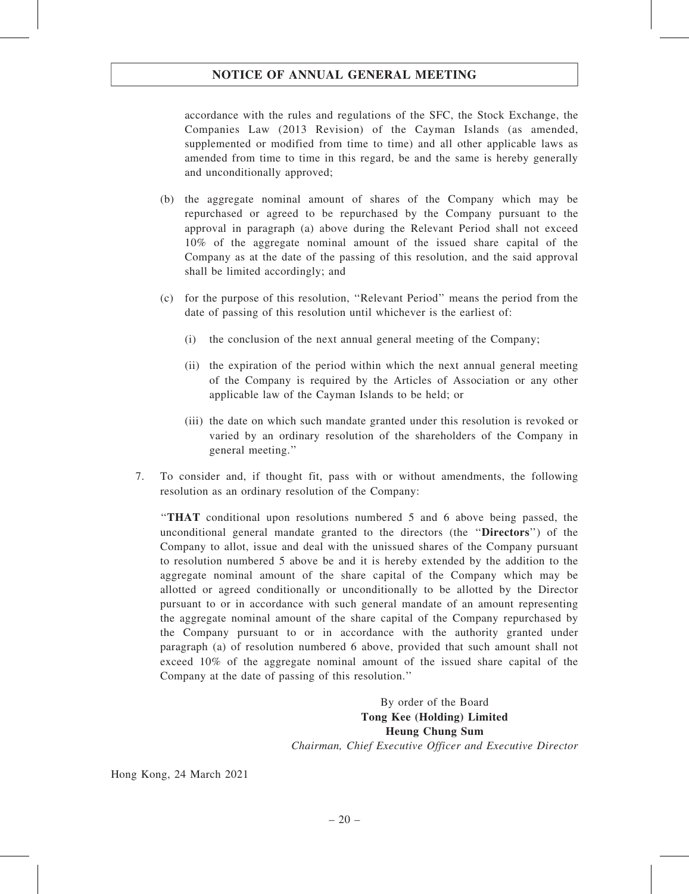accordance with the rules and regulations of the SFC, the Stock Exchange, the Companies Law (2013 Revision) of the Cayman Islands (as amended, supplemented or modified from time to time) and all other applicable laws as amended from time to time in this regard, be and the same is hereby generally and unconditionally approved;

- (b) the aggregate nominal amount of shares of the Company which may be repurchased or agreed to be repurchased by the Company pursuant to the approval in paragraph (a) above during the Relevant Period shall not exceed 10% of the aggregate nominal amount of the issued share capital of the Company as at the date of the passing of this resolution, and the said approval shall be limited accordingly; and
- (c) for the purpose of this resolution, ''Relevant Period'' means the period from the date of passing of this resolution until whichever is the earliest of:
	- (i) the conclusion of the next annual general meeting of the Company;
	- (ii) the expiration of the period within which the next annual general meeting of the Company is required by the Articles of Association or any other applicable law of the Cayman Islands to be held; or
	- (iii) the date on which such mandate granted under this resolution is revoked or varied by an ordinary resolution of the shareholders of the Company in general meeting.''
- 7. To consider and, if thought fit, pass with or without amendments, the following resolution as an ordinary resolution of the Company:

''THAT conditional upon resolutions numbered 5 and 6 above being passed, the unconditional general mandate granted to the directors (the "Directors") of the Company to allot, issue and deal with the unissued shares of the Company pursuant to resolution numbered 5 above be and it is hereby extended by the addition to the aggregate nominal amount of the share capital of the Company which may be allotted or agreed conditionally or unconditionally to be allotted by the Director pursuant to or in accordance with such general mandate of an amount representing the aggregate nominal amount of the share capital of the Company repurchased by the Company pursuant to or in accordance with the authority granted under paragraph (a) of resolution numbered 6 above, provided that such amount shall not exceed 10% of the aggregate nominal amount of the issued share capital of the Company at the date of passing of this resolution.''

> By order of the Board Tong Kee (Holding) Limited Heung Chung Sum Chairman, Chief Executive Officer and Executive Director

Hong Kong, 24 March 2021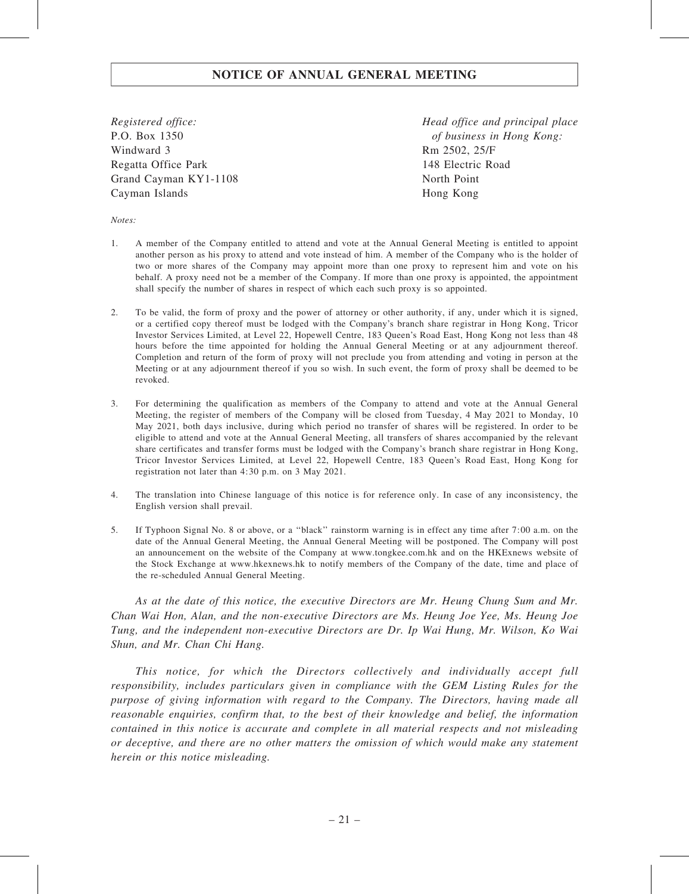Registered office: P.O. Box 1350 Windward 3 Regatta Office Park Grand Cayman KY1-1108 Cayman Islands

Head office and principal place of business in Hong Kong: Rm 2502, 25/F 148 Electric Road North Point Hong Kong

Notes:

- 1. A member of the Company entitled to attend and vote at the Annual General Meeting is entitled to appoint another person as his proxy to attend and vote instead of him. A member of the Company who is the holder of two or more shares of the Company may appoint more than one proxy to represent him and vote on his behalf. A proxy need not be a member of the Company. If more than one proxy is appointed, the appointment shall specify the number of shares in respect of which each such proxy is so appointed.
- 2. To be valid, the form of proxy and the power of attorney or other authority, if any, under which it is signed, or a certified copy thereof must be lodged with the Company's branch share registrar in Hong Kong, Tricor Investor Services Limited, at Level 22, Hopewell Centre, 183 Queen's Road East, Hong Kong not less than 48 hours before the time appointed for holding the Annual General Meeting or at any adjournment thereof. Completion and return of the form of proxy will not preclude you from attending and voting in person at the Meeting or at any adjournment thereof if you so wish. In such event, the form of proxy shall be deemed to be revoked.
- 3. For determining the qualification as members of the Company to attend and vote at the Annual General Meeting, the register of members of the Company will be closed from Tuesday, 4 May 2021 to Monday, 10 May 2021, both days inclusive, during which period no transfer of shares will be registered. In order to be eligible to attend and vote at the Annual General Meeting, all transfers of shares accompanied by the relevant share certificates and transfer forms must be lodged with the Company's branch share registrar in Hong Kong, Tricor Investor Services Limited, at Level 22, Hopewell Centre, 183 Queen's Road East, Hong Kong for registration not later than 4:30 p.m. on 3 May 2021.
- 4. The translation into Chinese language of this notice is for reference only. In case of any inconsistency, the English version shall prevail.
- 5. If Typhoon Signal No. 8 or above, or a ''black'' rainstorm warning is in effect any time after 7:00 a.m. on the date of the Annual General Meeting, the Annual General Meeting will be postponed. The Company will post an announcement on the website of the Company at www.tongkee.com.hk and on the HKExnews website of the Stock Exchange at www.hkexnews.hk to notify members of the Company of the date, time and place of the re-scheduled Annual General Meeting.

As at the date of this notice, the executive Directors are Mr. Heung Chung Sum and Mr. Chan Wai Hon, Alan, and the non-executive Directors are Ms. Heung Joe Yee, Ms. Heung Joe Tung, and the independent non-executive Directors are Dr. Ip Wai Hung, Mr. Wilson, Ko Wai Shun, and Mr. Chan Chi Hang.

This notice, for which the Directors collectively and individually accept full responsibility, includes particulars given in compliance with the GEM Listing Rules for the purpose of giving information with regard to the Company. The Directors, having made all reasonable enquiries, confirm that, to the best of their knowledge and belief, the information contained in this notice is accurate and complete in all material respects and not misleading or deceptive, and there are no other matters the omission of which would make any statement herein or this notice misleading.